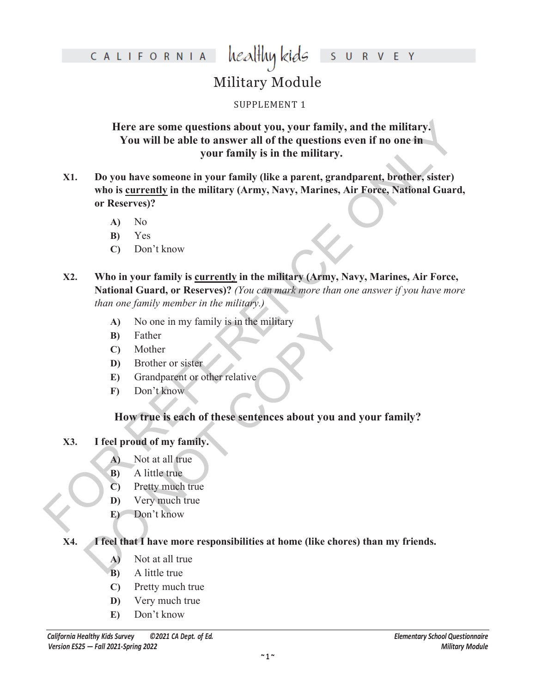## healthy kids S U R V E Y

# Military Module

# SUPPLEMENT 1

**Here are some questions about you, your family, and the military. You will be able to answer all of the questions even if no one in your family is in the military.**

- Here are some questions about you, your family, and the military,<br>
You will be able to asswer all of the questions even if no one in<br>
your family is in the military.<br>
X1. Do you have someone in your family (ike a parent, **X1. Do you have someone in your family (like a parent, grandparent, brother, sister) who is currently in the military (Army, Navy, Marines, Air Force, National Guard, or Reserves)?**
	- **A)** No
	- **B)** Yes
	- **C)** Don't know
	- **X2. Who in your family is currently in the military (Army, Navy, Marines, Air Force, National Guard, or Reserves)?** *(You can mark more than one answer if you have more than one family member in the military.)*
		- **A)** No one in my family is in the military
		- **B)** Father
		- **C)** Mother
		- **D)** Brother or sister
		- **E)** Grandparent or other relative
		- **F)** Don't know

# **How true is each of these sentences about you and your family?**

# **X3. I feel proud of my family.**

- **A)** Not at all true
- **B)** A little true
- **C)** Pretty much true
- **D)** Very much true
- **E)** Don't know

# (A) No one in my family is in the military<br>
(B) Father<br>
(C) Mother<br>
(D) Brother or sister<br>
(E) Grandparent or other relative<br>
(F) Don't know<br>
(F) Don't know<br>
(D) Not at all true<br>
(B) A little true<br>
(D) Very much true<br>
(E) **X4. I feel that I have more responsibilities at home (like chores) than my friends.**

- **A)** Not at all true
- **B)** A little true
- **C)** Pretty much true
- **D)** Very much true
- **E)** Don't know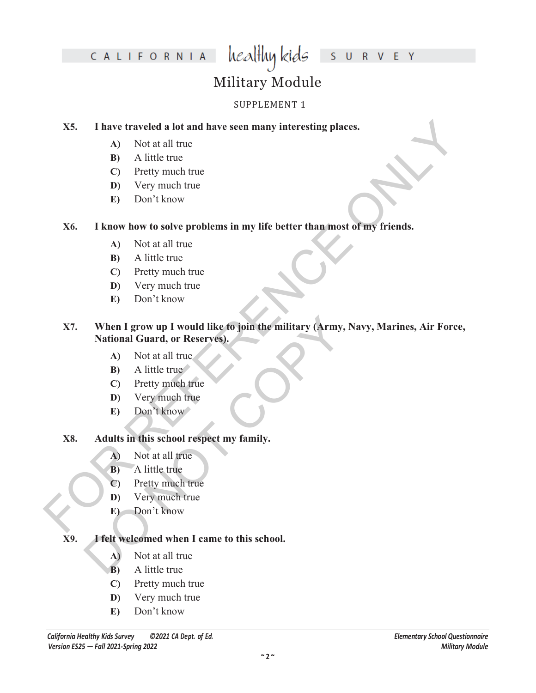# healthykids survey

# Military Module

## SUPPLEMENT 1

### **X5. I have traveled a lot and have seen many interesting places.**

- **A)** Not at all true
- **B)** A little true
- **C)** Pretty much true
- **D)** Very much true
- **E)** Don't know

## **X6. I know how to solve problems in my life better than most of my friends.**

- **A)** Not at all true
- **B)** A little true
- **C)** Pretty much true
- **D)** Very much true
- **E)** Don't know

# X5. I have traveled a lot and have seen many interesting places.<br>
A) Not at all true<br>
(C) Pretty much true<br>
D) Very much true<br>
D) Very much true<br>
D) Very much true<br>
(C) Pretty much true<br>
(C) Pretty much true<br>
(C) Pretty m When I grow up I would like to join the military (Army, N<br>
National Guard, or Reservés).<br>
A) Not at all true<br>
B) A little true<br>
C) Pretty much true<br>
E) Don't know<br>
Adults in this school respect my family.<br>
A) Not at all t **X7. When I grow up I would like to join the military (Army, Navy, Marines, Air Force, National Guard, or Reserves).**

- **A)** Not at all true
- **B**) A little true
- **C)** Pretty much true
- **D)** Very much true
- **E)** Don't know

# **X8. Adults in this school respect my family.**

- **A)** Not at all true
- **B**) A little true
- **C)** Pretty much true
- **D)** Very much true
- **E**) Don't know

# **X9. I felt welcomed when I came to this school.**

- **A)** Not at all true
- **B)** A little true
- **C)** Pretty much true
- **D)** Very much true
- **E)** Don't know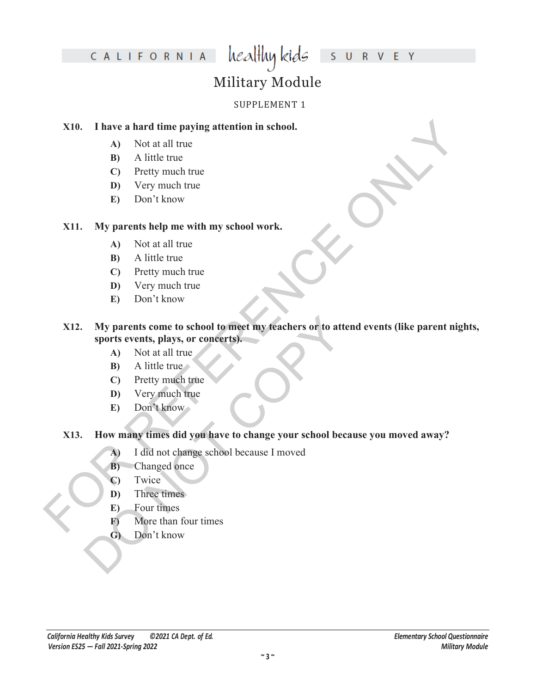# heal<del>l</del>luy kids S U R V E Y

# Military Module

## SUPPLEMENT 1

### **X10. I have a hard time paying attention in school.**

- **A)** Not at all true
- **B)** A little true
- **C)** Pretty much true
- **D)** Very much true
- **E)** Don't know

## **X11. My parents help me with my school work.**

- **A)** Not at all true
- **B)** A little true
- **C)** Pretty much true
- **D)** Very much true
- **E)** Don't know

# X10. Thave a hard time paying attention in school.<br>
A) Not at all true<br>
E) Por thy much true<br>
D Por Theory much true<br>
D Por Theory much true<br>
D Por Theory much true<br>
D A little true<br>
C) Pretty much true<br>
C) Pretty much tr My parents come to school to meet my teachers or to atter<br>sports events, plays, or concerts).<br>A) Not at all true<br>B) A little true<br>C) Pretty much true<br>D) Very much true<br>E) Don't know<br>How many times did you have to change yo **X12. My parents come to school to meet my teachers or to attend events (like parent nights, sports events, plays, or concerts).**

- **A)** Not at all true
- **B**) A little true
- **C)** Pretty much true
- **D)** Very much true
- **E)** Don't know

# **X13. How many times did you have to change your school because you moved away?**

- **A)** I did not change school because I moved
- **B)** Changed once
- **C)** Twice
- **D)** Three times
- **E)** Four times
- **F)** More than four times
- **G)** Don't know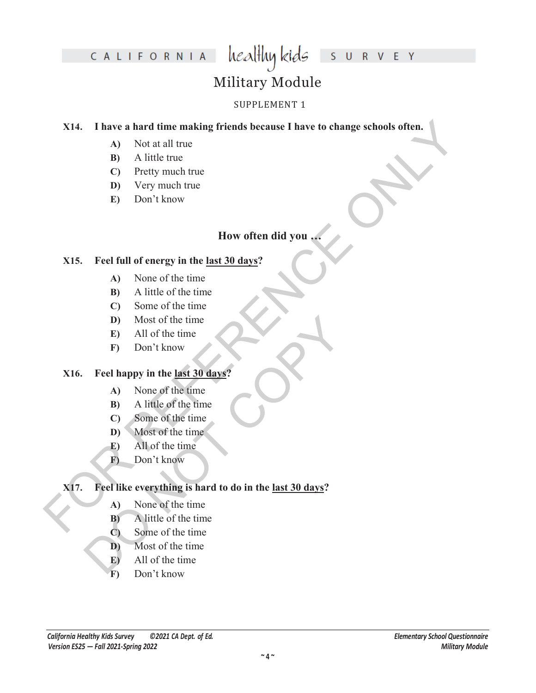# healthykids surver

# Military Module

# SUPPLEMENT 1

# X14. I have a hard time making friends because I have to change schools often.<br>
A) Not at all true<br>
B) A little true<br>
C) Pretty much true<br>
D) Very much true<br>
E) Don't know<br>
How often did you<br>  $\times$  How often did you<br>  $\times$  **X14. I have a hard time making friends because I have to change schools often.**

- **A)** Not at all true
- **B)** A little true
- **C)** Pretty much true
- **D)** Very much true
- **E)** Don't know

# **How often did you …**

## **X15. Feel full of energy in the last 30 days?**

- **A)** None of the time
- **B)** A little of the time
- **C)** Some of the time
- **D)** Most of the time
- **E)** All of the time
- **F)** Don't know

# **X16. Feel happy in the last 30 days?**

- **A)** None of the time
- **B)** A little of the time
- **C)** Some of the time
- **D)** Most of the time
- **E)** All of the time
- **F)** Don't know

# D) Most of the time<br>
E) All of the time<br>
F) Don't know<br>
Feel happy in the <u>last 30 days</u>?<br>
A) None of the time<br>
B) A little of the time<br>
C) Some of the time<br>
E) All of the time<br>
F) Don't know<br>
Feel like everything is hard **X17. Feel like everything is hard to do in the last 30 days?**

- **A)** None of the time
- **B)** A little of the time
- **C)** Some of the time
- **D)** Most of the time
- **E)** All of the time
- **F)** Don't know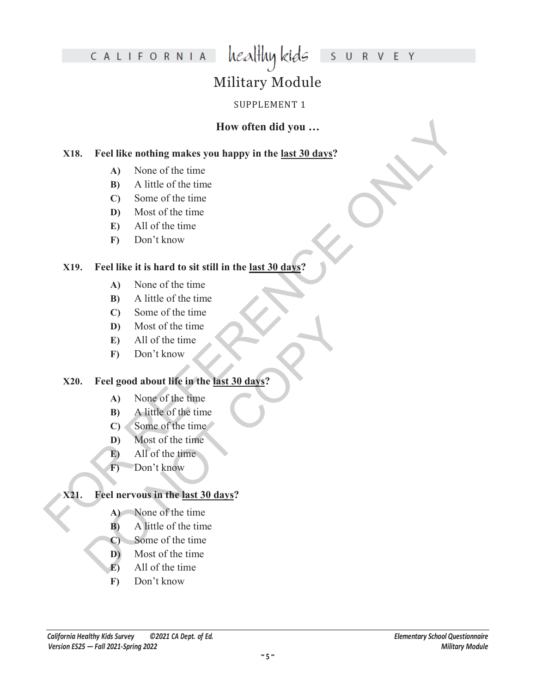# healthy kids S U R V E Y

# Military Module

# SUPPLEMENT 1

# **How often did you …**

# **For the transfer of the time**<br> **FOR REFERENCE ASSESS**<br> **FOR REFERENCE THE CONSIDER (B)**<br> **FOR REFERENCE ASSESS**<br> **EXECUTE:**<br> **FOR A REFERENCE ONLY AND INSTERS (FOR REFERENCE ONLY) MOSE of the time<br>
<b>FOR A REFERENCE ONLY X18. Feel like nothing makes you happy in the last 30 days?**

- **A)** None of the time
- **B)** A little of the time
- **C)** Some of the time
- **D)** Most of the time
- **E)** All of the time
- **F)** Don't know

## **X19. Feel like it is hard to sit still in the last 30 days?**

- **A)** None of the time
- **B)** A little of the time
- **C)** Some of the time
- **D)** Most of the time
- **E)** All of the time
- **F)** Don't know

# D Most of the time<br>
E) All of the time<br>
F) Don't know<br>
Feel good about life in the <u>last 30 days?</u><br>
A) None of the time<br>
B) A little of the time<br>
C) Some of the time<br>
F) All of the time<br>
F) Don't know<br>
Feel nervous in the **X20. Feel good about life in the last 30 days?**

- **A)** None of the time
- **B)** A little of the time
- **C)** Some of the time
- **D)** Most of the time
- **E)** All of the time
- **F)** Don't know

# **X21. Feel nervous in the last 30 days?**

- **A)** None of the time
- **B)** A little of the time
- **C)** Some of the time
- **D)** Most of the time
- **E)** All of the time
- **F)** Don't know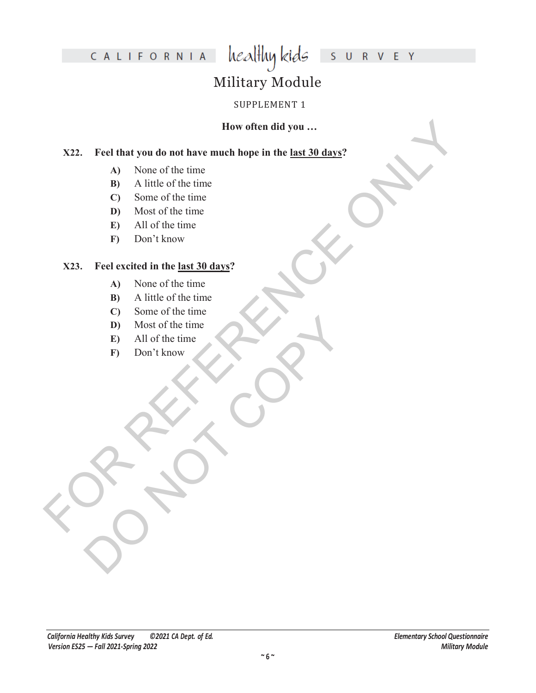# healthykids surver

# Military Module

## SUPPLEMENT 1

## **How often did you …**

# How offen did you ...<br>
X22. Feel that you do not have much hope in the <u>last 30 days?</u><br>
A) Nintel of the time<br>
D) Must of the time<br>
C) Some of the time<br>
F) All of the time<br>
F) Don't know<br>
M) A little of the time<br>
C) Some o **X22. Feel that you do not have much hope in the last 30 days?**

- **A)** None of the time
- **B)** A little of the time
- **C)** Some of the time
- **D)** Most of the time
- **E)** All of the time
- **F)** Don't know

### **X23. Feel excited in the last 30 days?**

- **A)** None of the time
- **B)** A little of the time
- **C)** Some of the time
- D) Most of the time<br>E) All of the time<br>F) Don't know<br>Copyright Copyright Copyright<br>Copyright Copyright Copyright Copyright Copyright Copyright Copyright Copyright Copyright Copyright Copyright<br>Copyright Copyright Copyright **D)** Most of the time
	- **E)** All of the time
	- **F)** Don't know